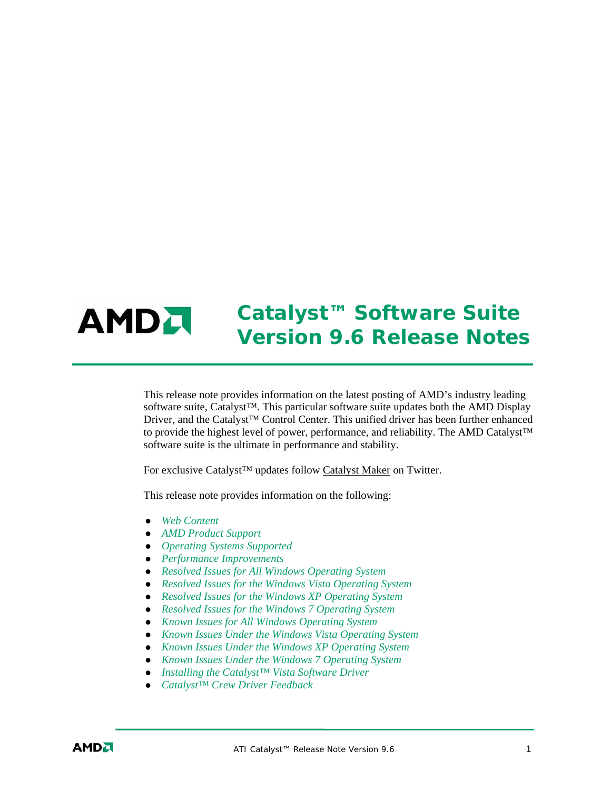

# *Catalyst™ Software Suite Version 9.6 Release Notes*

This release note provides information on the latest posting of AMD's industry leading software suite, Catalyst<sup>™</sup>. This particular software suite updates both the AMD Display Driver, and the Catalyst™ Control Center. This unified driver has been further enhanced to provide the highest level of power, performance, and reliability. The AMD Catalyst™ software suite is the ultimate in performance and stability.

For exclusive Catalyst™ updates follow Catalyst Maker on Twitter.

This release note provides information on the following:

- z *Web Content*
- z *AMD Product Support*
- z *Operating Systems Supported*
- z *Performance Improvements*
- z *Resolved Issues for All Windows Operating System*
- **•** *Resolved Issues for the Windows Vista Operating System*
- **•** Resolved Issues for the Windows XP Operating System
- z *Resolved Issues for the Windows 7 Operating System*
- **•** *Known Issues for All Windows Operating System*
- **•** *Known Issues Under the Windows Vista Operating System*
- **•** *Known Issues Under the Windows XP Operating System*
- **•** *Known Issues Under the Windows 7 Operating System*
- z *Installing the Catalyst™ Vista Software Driver*
- z *Catalyst™ Crew Driver Feedback*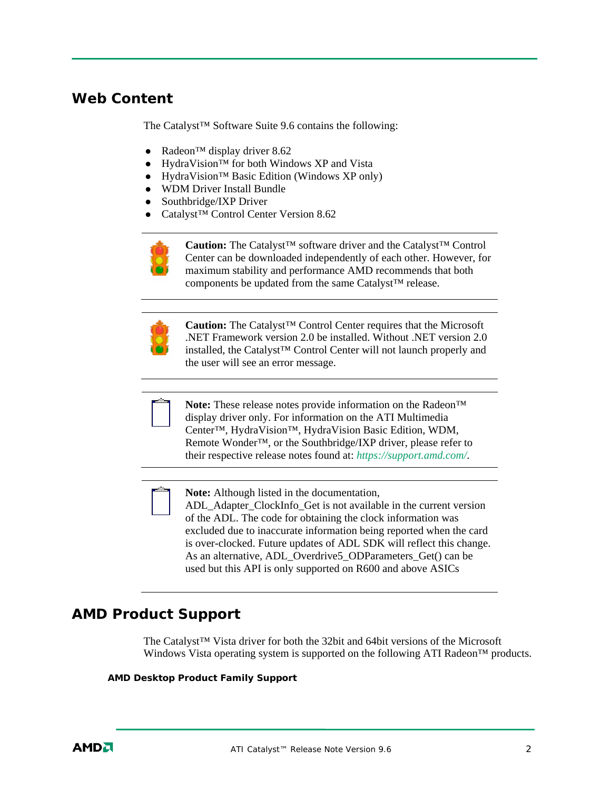### **Web Content**

The Catalyst™ Software Suite 9.6 contains the following:

- Radeon<sup>™</sup> display driver 8.62
- HydraVision™ for both Windows XP and Vista
- HydraVision™ Basic Edition (Windows XP only)
- WDM Driver Install Bundle
- $\bullet$  Southbridge/IXP Driver
- Catalyst<sup>™</sup> Control Center Version 8.62



**Caution:** The Catalyst™ software driver and the Catalyst™ Control Center can be downloaded independently of each other. However, for maximum stability and performance AMD recommends that both components be updated from the same Catalyst™ release.



**Caution:** The Catalyst™ Control Center requires that the Microsoft .NET Framework version 2.0 be installed. Without .NET version 2.0 installed, the Catalyst™ Control Center will not launch properly and the user will see an error message.



**Note:** These release notes provide information on the Radeon™ display driver only. For information on the ATI Multimedia Center™, HydraVision™, HydraVision Basic Edition, WDM, Remote Wonder™, or the Southbridge/IXP driver, please refer to their respective release notes found at: *https://support.amd.com/*.



**Note:** Although listed in the documentation,

ADL Adapter ClockInfo Get is not available in the current version of the ADL. The code for obtaining the clock information was excluded due to inaccurate information being reported when the card is over-clocked. Future updates of ADL SDK will reflect this change. As an alternative, ADL\_Overdrive5\_ODParameters\_Get() can be used but this API is only supported on R600 and above ASICs

#### **AMD Product Support**

The Catalyst™ Vista driver for both the 32bit and 64bit versions of the Microsoft Windows Vista operating system is supported on the following ATI Radeon™ products.

#### **AMD Desktop Product Family Support**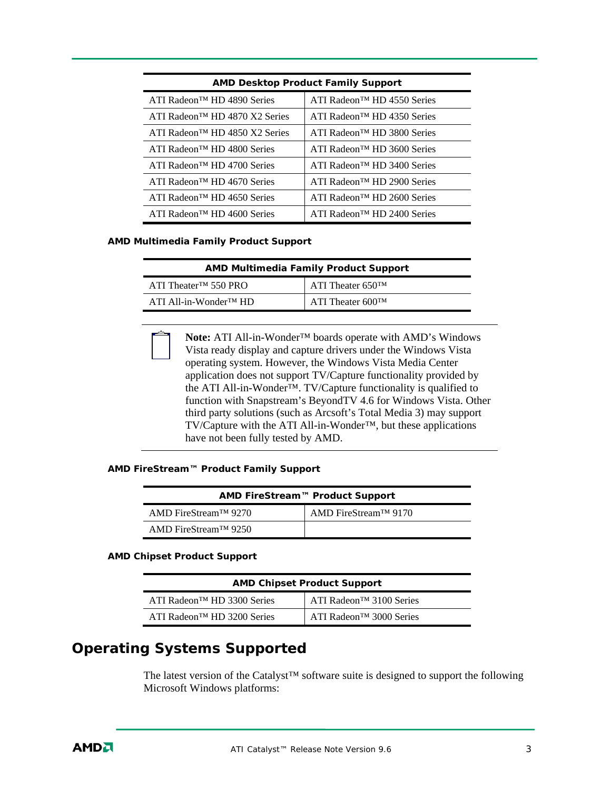| <b>AMD Desktop Product Family Support</b>  |                                         |  |
|--------------------------------------------|-----------------------------------------|--|
| ATI Radeon <sup>™</sup> HD 4890 Series     | ATI Radeon <sup>™</sup> HD 4550 Series  |  |
| ATI Radeon <sup>™</sup> HD 4870 X2 Series  | ATI Radeon <sup>TM</sup> HD 4350 Series |  |
| ATI Radeon <sup>TM</sup> HD 4850 X2 Series | ATI Radeon™ HD 3800 Series              |  |
| ATI Radeon <sup>TM</sup> HD 4800 Series    | ATI Radeon™ HD 3600 Series              |  |
| ATI Radeon <sup>TM</sup> HD 4700 Series    | ATI Radeon <sup>TM</sup> HD 3400 Series |  |
| ATI Radeon <sup>TM</sup> HD 4670 Series    | ATI Radeon <sup>TM</sup> HD 2900 Series |  |
| ATI Radeon <sup>TM</sup> HD 4650 Series    | ATI Radeon <sup>TM</sup> HD 2600 Series |  |
| ATI Radeon <sup>TM</sup> HD 4600 Series    | ATI Radeon <sup>™</sup> HD 2400 Series  |  |

#### **AMD Multimedia Family Product Support**

| <b>AMD Multimedia Family Product Support</b> |                               |  |
|----------------------------------------------|-------------------------------|--|
| ATI Theater <sup>TM</sup> 550 PRO            | I ATI Theater 650TM           |  |
| $ATI$ All-in-Wonder <sup>TM</sup> HD         | ATI Theater $600^{\text{TM}}$ |  |

**Note:** ATI All-in-Wonder™ boards operate with AMD's Windows Vista ready display and capture drivers under the Windows Vista operating system. However, the Windows Vista Media Center application does not support TV/Capture functionality provided by the ATI All-in-Wonder™. TV/Capture functionality is qualified to function with Snapstream's BeyondTV 4.6 for Windows Vista. Other third party solutions (such as Arcsoft's Total Media 3) may support TV/Capture with the ATI All-in-Wonder™, but these applications have not been fully tested by AMD.

#### **AMD FireStream™ Product Family Support**

| AMD FireStream™ Product Support   |                      |  |
|-----------------------------------|----------------------|--|
| AMD FireStream <sup>TM</sup> 9270 | AMD FireStream™ 9170 |  |
| AMD FireStream <sup>TM</sup> 9250 |                      |  |

#### **AMD Chipset Product Support**

| <b>AMD Chipset Product Support</b>      |                                                     |  |
|-----------------------------------------|-----------------------------------------------------|--|
| ATI Radeon <sup>TM</sup> HD 3300 Series | $\overline{A}$ ATI Radeon <sup>TM</sup> 3100 Series |  |
| ATI Radeon <sup>TM</sup> HD 3200 Series | ATI Radeon <sup>™</sup> 3000 Series                 |  |

# **Operating Systems Supported**

The latest version of the Catalyst™ software suite is designed to support the following Microsoft Windows platforms: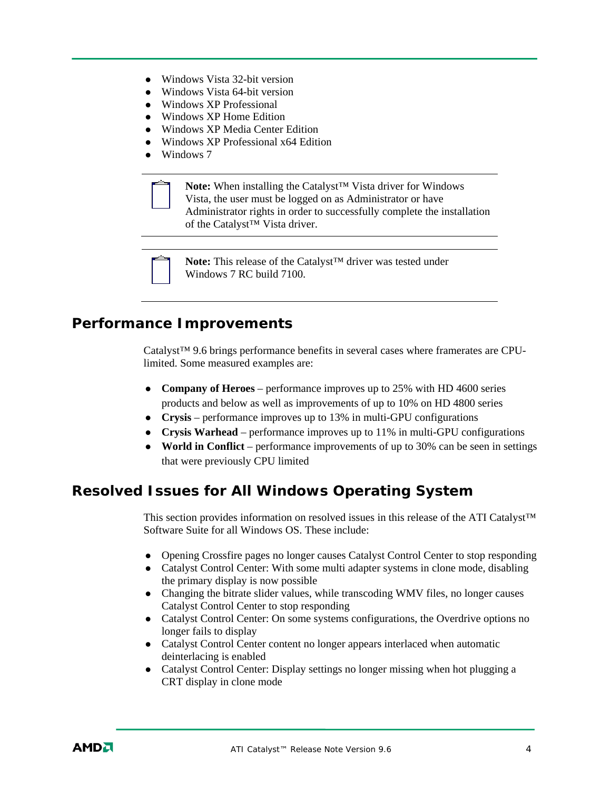- $\bullet$  Windows Vista 32-bit version
- $\bullet$  Windows Vista 64-bit version
- $\bullet$  Windows XP Professional
- Windows XP Home Edition
- z Windows XP Media Center Edition
- z Windows XP Professional x64 Edition
- $\bullet$  Windows 7



**Note:** When installing the Catalyst™ Vista driver for Windows Vista, the user must be logged on as Administrator or have Administrator rights in order to successfully complete the installation of the Catalyst™ Vista driver.



**Note:** This release of the Catalyst™ driver was tested under Windows 7 RC build 7100.

#### **Performance Improvements**

Catalyst™ 9.6 brings performance benefits in several cases where framerates are CPUlimited. Some measured examples are:

- **Company of Heroes** performance improves up to 25% with HD 4600 series products and below as well as improvements of up to 10% on HD 4800 series
- z **Crysis** performance improves up to 13% in multi-GPU configurations
- z **Crysis Warhead** performance improves up to 11% in multi-GPU configurations
- World in Conflict performance improvements of up to 30% can be seen in settings that were previously CPU limited

#### **Resolved Issues for All Windows Operating System**

This section provides information on resolved issues in this release of the ATI Catalyst™ Software Suite for all Windows OS. These include:

- Opening Crossfire pages no longer causes Catalyst Control Center to stop responding
- Catalyst Control Center: With some multi adapter systems in clone mode, disabling the primary display is now possible
- Changing the bitrate slider values, while transcoding WMV files, no longer causes Catalyst Control Center to stop responding
- Catalyst Control Center: On some systems configurations, the Overdrive options no longer fails to display
- Catalyst Control Center content no longer appears interlaced when automatic deinterlacing is enabled
- Catalyst Control Center: Display settings no longer missing when hot plugging a CRT display in clone mode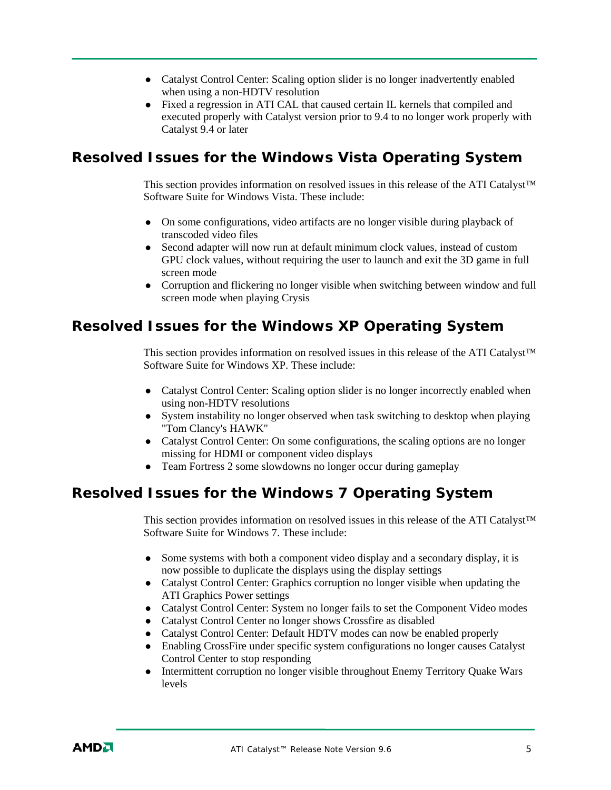- Catalyst Control Center: Scaling option slider is no longer inadvertently enabled when using a non-HDTV resolution
- Fixed a regression in ATI CAL that caused certain IL kernels that compiled and executed properly with Catalyst version prior to 9.4 to no longer work properly with Catalyst 9.4 or later

## **Resolved Issues for the Windows Vista Operating System**

This section provides information on resolved issues in this release of the ATI Catalyst™ Software Suite for Windows Vista. These include:

- On some configurations, video artifacts are no longer visible during playback of transcoded video files
- Second adapter will now run at default minimum clock values, instead of custom GPU clock values, without requiring the user to launch and exit the 3D game in full screen mode
- Corruption and flickering no longer visible when switching between window and full screen mode when playing Crysis

### **Resolved Issues for the Windows XP Operating System**

This section provides information on resolved issues in this release of the ATI Catalyst™ Software Suite for Windows XP. These include:

- Catalyst Control Center: Scaling option slider is no longer incorrectly enabled when using non-HDTV resolutions
- System instability no longer observed when task switching to desktop when playing "Tom Clancy's HAWK"
- Catalyst Control Center: On some configurations, the scaling options are no longer missing for HDMI or component video displays
- $\bullet$  Team Fortress 2 some slowdowns no longer occur during gameplay

# **Resolved Issues for the Windows 7 Operating System**

This section provides information on resolved issues in this release of the ATI Catalyst™ Software Suite for Windows 7. These include:

- Some systems with both a component video display and a secondary display, it is now possible to duplicate the displays using the display settings
- Catalyst Control Center: Graphics corruption no longer visible when updating the ATI Graphics Power settings
- Catalyst Control Center: System no longer fails to set the Component Video modes
- Catalyst Control Center no longer shows Crossfire as disabled
- Catalyst Control Center: Default HDTV modes can now be enabled properly
- Enabling CrossFire under specific system configurations no longer causes Catalyst Control Center to stop responding
- Intermittent corruption no longer visible throughout Enemy Territory Quake Wars levels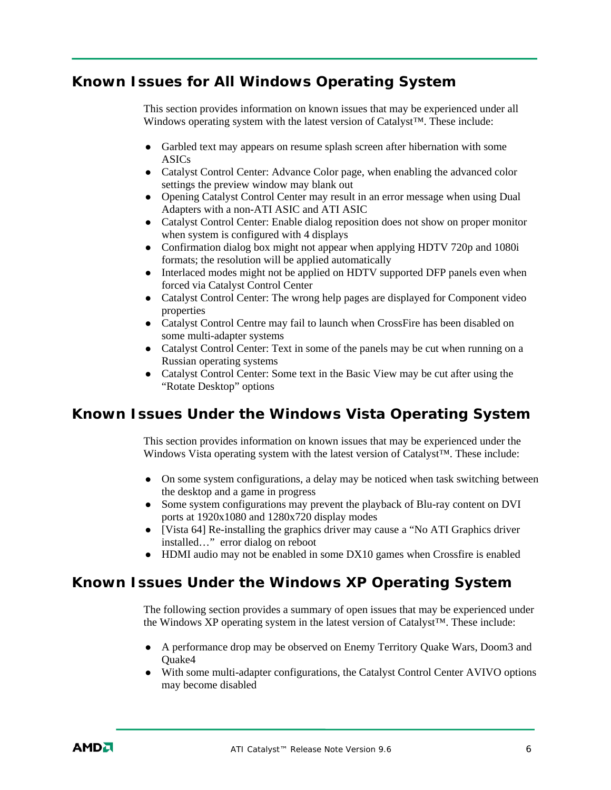# **Known Issues for All Windows Operating System**

This section provides information on known issues that may be experienced under all Windows operating system with the latest version of Catalyst™. These include:

- Garbled text may appears on resume splash screen after hibernation with some ASICs
- Catalyst Control Center: Advance Color page, when enabling the advanced color settings the preview window may blank out
- Opening Catalyst Control Center may result in an error message when using Dual Adapters with a non-ATI ASIC and ATI ASIC
- Catalyst Control Center: Enable dialog reposition does not show on proper monitor when system is configured with 4 displays
- Confirmation dialog box might not appear when applying HDTV 720p and 1080i formats; the resolution will be applied automatically
- Interlaced modes might not be applied on HDTV supported DFP panels even when forced via Catalyst Control Center
- Catalyst Control Center: The wrong help pages are displayed for Component video properties
- Catalyst Control Centre may fail to launch when CrossFire has been disabled on some multi-adapter systems
- Catalyst Control Center: Text in some of the panels may be cut when running on a Russian operating systems
- Catalyst Control Center: Some text in the Basic View may be cut after using the "Rotate Desktop" options

# **Known Issues Under the Windows Vista Operating System**

This section provides information on known issues that may be experienced under the Windows Vista operating system with the latest version of Catalyst™. These include:

- On some system configurations, a delay may be noticed when task switching between the desktop and a game in progress
- Some system configurations may prevent the playback of Blu-ray content on DVI ports at 1920x1080 and 1280x720 display modes
- [Vista 64] Re-installing the graphics driver may cause a "No ATI Graphics driver" installed…" error dialog on reboot
- HDMI audio may not be enabled in some DX10 games when Crossfire is enabled

# **Known Issues Under the Windows XP Operating System**

The following section provides a summary of open issues that may be experienced under the Windows XP operating system in the latest version of Catalyst™. These include:

- A performance drop may be observed on Enemy Territory Quake Wars, Doom3 and Quake4
- With some multi-adapter configurations, the Catalyst Control Center AVIVO options may become disabled